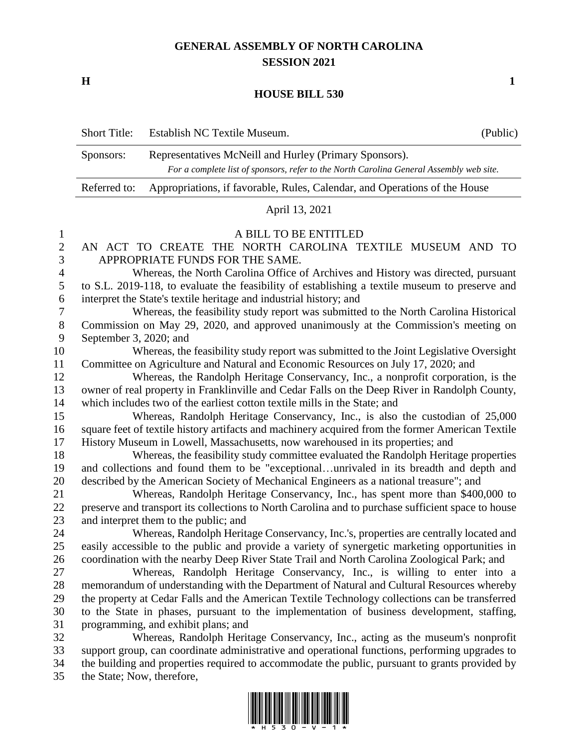## **GENERAL ASSEMBLY OF NORTH CAROLINA SESSION 2021**

**H 1**

## **HOUSE BILL 530**

|                | <b>Short Title:</b>                                                                                                                                                                 | Establish NC Textile Museum.                                                                                                                      | (Public) |
|----------------|-------------------------------------------------------------------------------------------------------------------------------------------------------------------------------------|---------------------------------------------------------------------------------------------------------------------------------------------------|----------|
|                | Sponsors:                                                                                                                                                                           | Representatives McNeill and Hurley (Primary Sponsors).<br>For a complete list of sponsors, refer to the North Carolina General Assembly web site. |          |
|                | Referred to:                                                                                                                                                                        | Appropriations, if favorable, Rules, Calendar, and Operations of the House                                                                        |          |
|                | April 13, 2021                                                                                                                                                                      |                                                                                                                                                   |          |
| $\mathbf{1}$   | A BILL TO BE ENTITLED                                                                                                                                                               |                                                                                                                                                   |          |
| $\mathbf{2}$   | AN ACT TO CREATE THE NORTH CAROLINA TEXTILE MUSEUM AND TO                                                                                                                           |                                                                                                                                                   |          |
| $\mathfrak{Z}$ | APPROPRIATE FUNDS FOR THE SAME.                                                                                                                                                     |                                                                                                                                                   |          |
| $\overline{4}$ | Whereas, the North Carolina Office of Archives and History was directed, pursuant<br>to S.L. 2019-118, to evaluate the feasibility of establishing a textile museum to preserve and |                                                                                                                                                   |          |
| 5              | interpret the State's textile heritage and industrial history; and                                                                                                                  |                                                                                                                                                   |          |
| 6<br>7         | Whereas, the feasibility study report was submitted to the North Carolina Historical                                                                                                |                                                                                                                                                   |          |
| $8\phantom{1}$ | Commission on May 29, 2020, and approved unanimously at the Commission's meeting on                                                                                                 |                                                                                                                                                   |          |
| 9              | September 3, 2020; and                                                                                                                                                              |                                                                                                                                                   |          |
| 10             | Whereas, the feasibility study report was submitted to the Joint Legislative Oversight                                                                                              |                                                                                                                                                   |          |
| 11             | Committee on Agriculture and Natural and Economic Resources on July 17, 2020; and                                                                                                   |                                                                                                                                                   |          |
| 12             | Whereas, the Randolph Heritage Conservancy, Inc., a nonprofit corporation, is the                                                                                                   |                                                                                                                                                   |          |
| 13             | owner of real property in Franklinville and Cedar Falls on the Deep River in Randolph County,                                                                                       |                                                                                                                                                   |          |
| 14             | which includes two of the earliest cotton textile mills in the State; and                                                                                                           |                                                                                                                                                   |          |
| 15             | Whereas, Randolph Heritage Conservancy, Inc., is also the custodian of 25,000                                                                                                       |                                                                                                                                                   |          |
| 16             | square feet of textile history artifacts and machinery acquired from the former American Textile                                                                                    |                                                                                                                                                   |          |
| 17             | History Museum in Lowell, Massachusetts, now warehoused in its properties; and                                                                                                      |                                                                                                                                                   |          |
| 18             | Whereas, the feasibility study committee evaluated the Randolph Heritage properties                                                                                                 |                                                                                                                                                   |          |
| 19             | and collections and found them to be "exceptionalunrivaled in its breadth and depth and                                                                                             |                                                                                                                                                   |          |
| 20             | described by the American Society of Mechanical Engineers as a national treasure"; and                                                                                              |                                                                                                                                                   |          |
| 21             | Whereas, Randolph Heritage Conservancy, Inc., has spent more than \$400,000 to                                                                                                      |                                                                                                                                                   |          |
| 22             |                                                                                                                                                                                     | preserve and transport its collections to North Carolina and to purchase sufficient space to house                                                |          |
| 23<br>24       |                                                                                                                                                                                     | and interpret them to the public; and<br>Whereas, Randolph Heritage Conservancy, Inc.'s, properties are centrally located and                     |          |
| 25             |                                                                                                                                                                                     | easily accessible to the public and provide a variety of synergetic marketing opportunities in                                                    |          |
| 26             |                                                                                                                                                                                     | coordination with the nearby Deep River State Trail and North Carolina Zoological Park; and                                                       |          |
| 27             |                                                                                                                                                                                     | Whereas, Randolph Heritage Conservancy, Inc., is willing to enter into a                                                                          |          |
| 28             |                                                                                                                                                                                     | memorandum of understanding with the Department of Natural and Cultural Resources whereby                                                         |          |
| 29             | the property at Cedar Falls and the American Textile Technology collections can be transferred                                                                                      |                                                                                                                                                   |          |
| 30             | to the State in phases, pursuant to the implementation of business development, staffing,                                                                                           |                                                                                                                                                   |          |
| 31             |                                                                                                                                                                                     | programming, and exhibit plans; and                                                                                                               |          |
| 32             |                                                                                                                                                                                     | Whereas, Randolph Heritage Conservancy, Inc., acting as the museum's nonprofit                                                                    |          |
| 33             |                                                                                                                                                                                     | support group, can coordinate administrative and operational functions, performing upgrades to                                                    |          |
| 34             | the building and properties required to accommodate the public, pursuant to grants provided by                                                                                      |                                                                                                                                                   |          |

the State; Now, therefore,